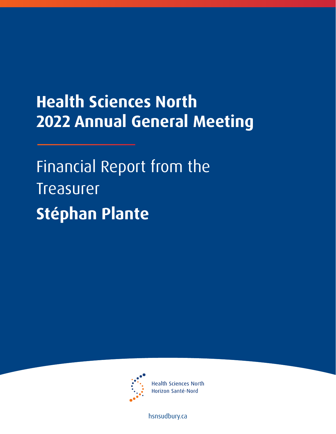## **Health Sciences North 2022 Annual General Meeting**

Financial Report from the **Treasurer Stéphan Plante** 



**Health Sciences North** Horizon Santé-Nord

hsnsudbury.ca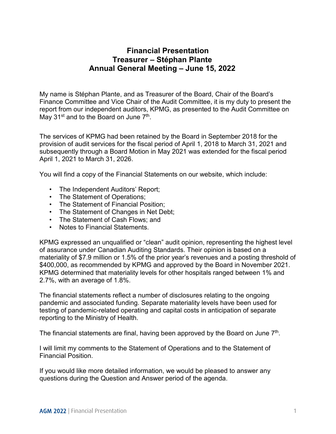## **Financial Presentation Treasurer – Stéphan Plante Annual General Meeting – June 15, 2022**

My name is Stéphan Plante, and as Treasurer of the Board, Chair of the Board's Finance Committee and Vice Chair of the Audit Committee, it is my duty to present the report from our independent auditors, KPMG, as presented to the Audit Committee on May 31<sup>st</sup> and to the Board on June 7<sup>th</sup>.

 provision of audit services for the fiscal period of April 1, 2018 to March 31, 2021 and subsequently through a Board Motion in May 2021 was extended for the fiscal period April 1, 2021 to March 31, 2026. The services of KPMG had been retained by the Board in September 2018 for the

You will find a copy of the Financial Statements on our website, which include:

- The Independent Auditors' Report;
- The Statement of Operations;
- The Statement of Financial Position;
- The Statement of Changes in Net Debt;
- The Statement of Cash Flows; and
- Notes to Financial Statements.

 materiality of \$7.9 million or 1.5% of the prior year's revenues and a posting threshold of KPMG expressed an unqualified or "clean" audit opinion, representing the highest level of assurance under Canadian Auditing Standards. Their opinion is based on a \$400,000, as recommended by KPMG and approved by the Board in November 2021. KPMG determined that materiality levels for other hospitals ranged between 1% and 2.7%, with an average of 1.8%.

The financial statements reflect a number of disclosures relating to the ongoing pandemic and associated funding. Separate materiality levels have been used for testing of pandemic-related operating and capital costs in anticipation of separate reporting to the Ministry of Health.

The financial statements are final, having been approved by the Board on June  $7<sup>th</sup>$ .

I will limit my comments to the Statement of Operations and to the Statement of Financial Position.

If you would like more detailed information, we would be pleased to answer any questions during the Question and Answer period of the agenda.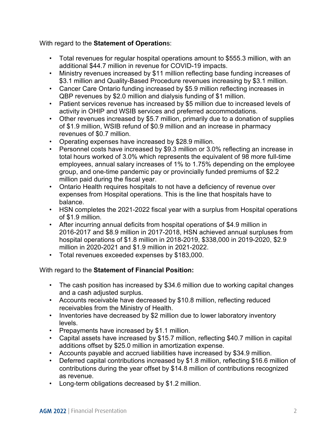With regard to the **Statement of Operation**s:

- Total revenues for regular hospital operations amount to \$555.3 million, with an additional \$44.7 million in revenue for COVID-19 impacts.
- Ministry revenues increased by \$11 million reflecting base funding increases of \$3.1 million and Quality-Based Procedure revenues increasing by \$3.1 million.
- Cancer Care Ontario funding increased by \$5.9 million reflecting increases in QBP revenues by \$2.0 million and dialysis funding of \$1 million.
- Patient services revenue has increased by \$5 million due to increased levels of activity in OHIP and WSIB services and preferred accommodations.
- Other revenues increased by \$5.7 million, primarily due to a donation of supplies of \$1.9 million, WSIB refund of \$0.9 million and an increase in pharmacy revenues of \$0.7 million.
- Operating expenses have increased by \$28.9 million.
- Personnel costs have increased by \$9.3 million or 3.0% reflecting an increase in total hours worked of 3.0% which represents the equivalent of 98 more full-time employees, annual salary increases of 1% to 1.75% depending on the employee group, and one-time pandemic pay or provincially funded premiums of \$2.2 million paid during the fiscal year.
- Ontario Health requires hospitals to not have a deficiency of revenue over expenses from Hospital operations. This is the line that hospitals have to balance.
- HSN completes the 2021-2022 fiscal year with a surplus from Hospital operations of \$1.9 million.
- After incurring annual deficits from hospital operations of \$4.9 million in 2016-2017 and \$8.9 million in 2017-2018, HSN achieved annual surpluses from hospital operations of \$1.8 million in 2018-2019, \$338,000 in 2019-2020, \$2.9 million in 2020-2021 and \$1.9 million in 2021-2022.
- Total revenues exceeded expenses by \$183,000.

## With regard to the **Statement of Financial Position:**

- The cash position has increased by \$34.6 million due to working capital changes and a cash adjusted surplus.
- Accounts receivable have decreased by \$10.8 million, reflecting reduced receivables from the Ministry of Health.
- Inventories have decreased by \$2 million due to lower laboratory inventory levels.
- Prepayments have increased by \$1.1 million.
- Capital assets have increased by \$15.7 million, reflecting \$40.7 million in capital additions offset by \$25.0 million in amortization expense.
- Accounts payable and accrued liabilities have increased by \$34.9 million.
- Deferred capital contributions increased by \$1.8 million, reflecting \$16.6 million of contributions during the year offset by \$14.8 million of contributions recognized as revenue.
- Long-term obligations decreased by \$1.2 million.